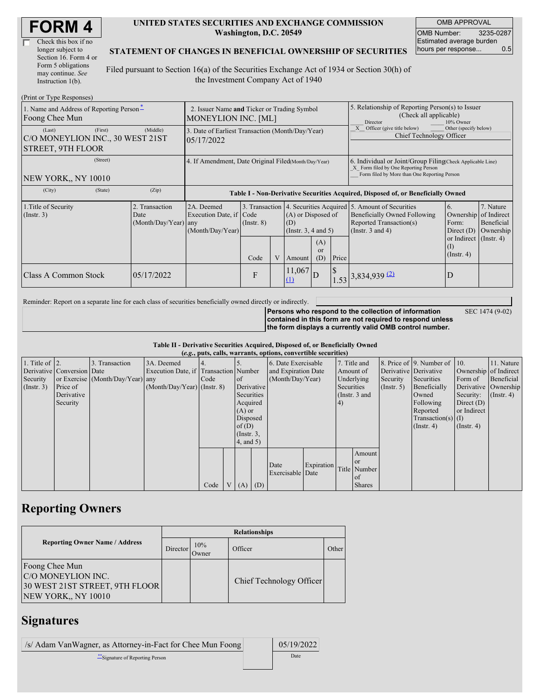| <b>FORM4</b> |
|--------------|
|--------------|

| Check this box if no  |
|-----------------------|
| longer subject to     |
| Section 16. Form 4 or |
| Form 5 obligations    |
| may continue. See     |
| Instruction 1(b).     |

#### **UNITED STATES SECURITIES AND EXCHANGE COMMISSION Washington, D.C. 20549**

OMB APPROVAL OMB Number: 3235-0287 Estimated average burden hours per response... 0.5

SEC 1474 (9-02)

#### **STATEMENT OF CHANGES IN BENEFICIAL OWNERSHIP OF SECURITIES**

Filed pursuant to Section 16(a) of the Securities Exchange Act of 1934 or Section 30(h) of the Investment Company Act of 1940

| (Print or Type Responses)                                                         |                                                                           |                                                                                  |                                                  |  |                                                  |                         |                                                                                                                                                    |                                                                                                                                                                                                      |                         |                                                                                  |  |
|-----------------------------------------------------------------------------------|---------------------------------------------------------------------------|----------------------------------------------------------------------------------|--------------------------------------------------|--|--------------------------------------------------|-------------------------|----------------------------------------------------------------------------------------------------------------------------------------------------|------------------------------------------------------------------------------------------------------------------------------------------------------------------------------------------------------|-------------------------|----------------------------------------------------------------------------------|--|
| 1. Name and Address of Reporting Person-<br>Foong Chee Mun                        | 2. Issuer Name and Ticker or Trading Symbol<br><b>MONEYLION INC. [ML]</b> |                                                                                  |                                                  |  |                                                  |                         | 5. Relationship of Reporting Person(s) to Issuer<br>(Check all applicable)<br>Director<br>10% Owner                                                |                                                                                                                                                                                                      |                         |                                                                                  |  |
| (First)<br>(Last)<br>C/O MONEYLION INC., 30 WEST 21ST<br><b>STREET, 9TH FLOOR</b> | (Middle)                                                                  | 05/17/2022                                                                       | 3. Date of Earliest Transaction (Month/Day/Year) |  |                                                  |                         |                                                                                                                                                    | Other (specify below)<br>Officer (give title below)<br>Chief Technology Officer                                                                                                                      |                         |                                                                                  |  |
| (Street)<br>NEW YORK., NY 10010                                                   | 4. If Amendment, Date Original Filed(Month/Day/Year)                      |                                                                                  |                                                  |  |                                                  |                         | 6. Individual or Joint/Group Filing Check Applicable Line)<br>X Form filed by One Reporting Person<br>Form filed by More than One Reporting Person |                                                                                                                                                                                                      |                         |                                                                                  |  |
| (City)<br>(State)                                                                 | (Zip)                                                                     | Table I - Non-Derivative Securities Acquired, Disposed of, or Beneficially Owned |                                                  |  |                                                  |                         |                                                                                                                                                    |                                                                                                                                                                                                      |                         |                                                                                  |  |
| 1. Title of Security<br>$($ Instr. 3 $)$                                          | 2. Transaction<br>Date<br>$(Month/Day/Year)$ any                          | 2A. Deemed<br>Execution Date, if Code<br>(Month/Day/Year)                        | $($ Instr. $8)$                                  |  | (A) or Disposed of<br>(D)<br>(Instr. 3, 4 and 5) |                         |                                                                                                                                                    | 3. Transaction 4. Securities Acquired 5. Amount of Securities<br>6.<br><b>Beneficially Owned Following</b><br>Ownership<br>Reported Transaction(s)<br>Form:<br>(Instr. $3$ and $4$ )<br>Direct $(D)$ |                         | 7. Nature<br>of Indirect<br>Beneficial<br>Ownership<br>or Indirect $($ Instr. 4) |  |
|                                                                                   |                                                                           |                                                                                  | Code                                             |  | Amount                                           | (A)<br><b>or</b><br>(D) | Price                                                                                                                                              |                                                                                                                                                                                                      | (I)<br>$($ Instr. 4 $)$ |                                                                                  |  |
| Class A Common Stock                                                              | 05/17/2022                                                                |                                                                                  | F                                                |  | $\left 11,067\right _{\text{D}}$<br>$\Box$       |                         | $\mathcal{S}$                                                                                                                                      | $1.53$ 3,834,939 (2)                                                                                                                                                                                 | D                       |                                                                                  |  |

Reminder: Report on a separate line for each class of securities beneficially owned directly or indirectly.

**Persons who respond to the collection of information contained in this form are not required to respond unless the form displays a currently valid OMB control number.**

**Table II - Derivative Securities Acquired, Disposed of, or Beneficially Owned**

|                        | (e.g., puts, calls, warrants, options, convertible securities) |                                  |                                       |      |                |                 |                     |                          |            |            |                 |                       |                              |                  |                      |
|------------------------|----------------------------------------------------------------|----------------------------------|---------------------------------------|------|----------------|-----------------|---------------------|--------------------------|------------|------------|-----------------|-----------------------|------------------------------|------------------|----------------------|
| 1. Title of $\vert$ 2. |                                                                | 3. Transaction                   | 3A. Deemed                            |      |                |                 |                     | 6. Date Exercisable      |            |            | 7. Title and    |                       | 8. Price of 9. Number of 10. |                  | 11. Nature           |
|                        | Derivative Conversion Date                                     |                                  | Execution Date, if Transaction Number |      |                |                 | and Expiration Date |                          | Amount of  |            |                 | Derivative Derivative | Ownership of Indirect        |                  |                      |
| Security               |                                                                | or Exercise (Month/Day/Year) any |                                       | Code |                | <sub>of</sub>   |                     | (Month/Day/Year)         |            | Underlying |                 | Security              | Securities                   | Form of          | Beneficial           |
| $($ Instr. 3 $)$       | Price of                                                       |                                  | $(Month/Day/Year)$ (Instr. 8)         |      |                | Derivative      |                     |                          |            | Securities |                 | $($ Instr. 5 $)$      | Beneficially                 |                  | Derivative Ownership |
|                        | Derivative                                                     |                                  |                                       |      |                | Securities      |                     |                          |            |            | (Instr. $3$ and |                       | Owned                        | Security:        | $($ Instr. 4 $)$     |
|                        | Security                                                       |                                  |                                       |      |                | Acquired        |                     |                          |            | 4)         |                 |                       | Following                    | Direct $(D)$     |                      |
|                        |                                                                |                                  |                                       |      |                | $(A)$ or        |                     |                          |            |            |                 |                       | Reported                     | or Indirect      |                      |
|                        |                                                                |                                  |                                       |      |                | Disposed        |                     |                          |            |            |                 |                       | $Transaction(s)$ (I)         |                  |                      |
|                        |                                                                |                                  |                                       |      |                | of(D)           |                     |                          |            |            |                 |                       | $($ Instr. 4 $)$             | $($ Instr. 4 $)$ |                      |
|                        |                                                                |                                  |                                       |      |                | $($ Instr. $3,$ |                     |                          |            |            |                 |                       |                              |                  |                      |
|                        |                                                                |                                  |                                       |      |                | $4$ , and $5$ ) |                     |                          |            |            |                 |                       |                              |                  |                      |
|                        |                                                                |                                  |                                       |      |                |                 |                     |                          |            |            | Amount          |                       |                              |                  |                      |
|                        |                                                                |                                  |                                       |      |                |                 |                     |                          |            |            | <sub>or</sub>   |                       |                              |                  |                      |
|                        |                                                                |                                  |                                       |      |                |                 |                     | Date<br>Exercisable Date | Expiration |            | Title Number    |                       |                              |                  |                      |
|                        |                                                                |                                  |                                       |      |                |                 |                     |                          |            |            | of              |                       |                              |                  |                      |
|                        |                                                                |                                  |                                       | Code | V <sub>1</sub> | $(A)$ $(D)$     |                     |                          |            |            | <b>Shares</b>   |                       |                              |                  |                      |

## **Reporting Owners**

|                                                                                               |          |              | <b>Relationships</b>     |       |
|-----------------------------------------------------------------------------------------------|----------|--------------|--------------------------|-------|
| <b>Reporting Owner Name / Address</b>                                                         | Director | 10%<br>Owner | Officer                  | Other |
| Foong Chee Mun<br>C/O MONEYLION INC.<br>30 WEST 21ST STREET, 9TH FLOOR<br>NEW YORK,, NY 10010 |          |              | Chief Technology Officer |       |

### **Signatures**

| /s/ Adam VanWagner, as Attorney-in-Fact for Chee Mun Foong | 05/19/2022 |
|------------------------------------------------------------|------------|
| "Signature of Reporting Person"                            | Date       |